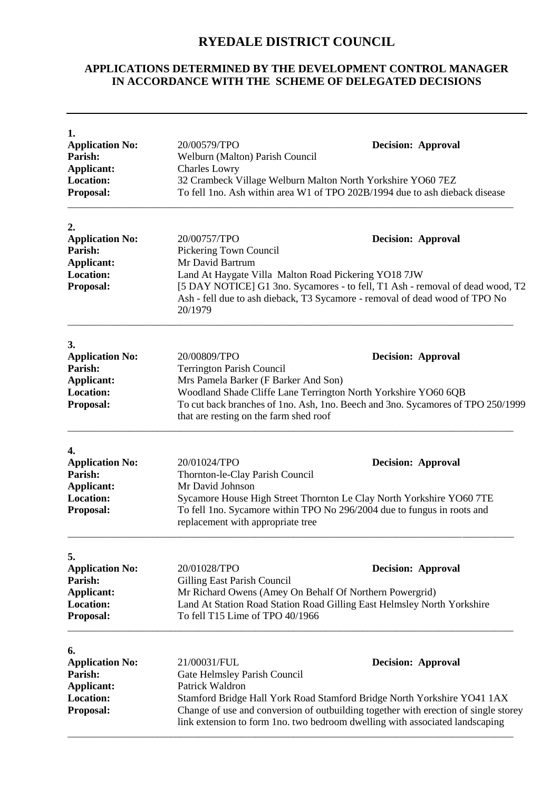## **RYEDALE DISTRICT COUNCIL**

## **APPLICATIONS DETERMINED BY THE DEVELOPMENT CONTROL MANAGER IN ACCORDANCE WITH THE SCHEME OF DELEGATED DECISIONS**

| 1.<br><b>Application No:</b><br>Parish:<br><b>Applicant:</b><br><b>Location:</b><br><b>Proposal:</b> | 20/00579/TPO<br><b>Decision: Approval</b><br>Welburn (Malton) Parish Council<br><b>Charles Lowry</b><br>32 Crambeck Village Welburn Malton North Yorkshire YO60 7EZ<br>To fell 1no. Ash within area W1 of TPO 202B/1994 due to ash dieback disease                                                                                             |
|------------------------------------------------------------------------------------------------------|------------------------------------------------------------------------------------------------------------------------------------------------------------------------------------------------------------------------------------------------------------------------------------------------------------------------------------------------|
| 2.<br><b>Application No:</b><br>Parish:<br><b>Applicant:</b><br><b>Location:</b><br><b>Proposal:</b> | 20/00757/TPO<br><b>Decision: Approval</b><br>Pickering Town Council<br>Mr David Bartrum<br>Land At Haygate Villa Malton Road Pickering YO18 7JW<br>[5 DAY NOTICE] G1 3no. Sycamores - to fell, T1 Ash - removal of dead wood, T2<br>Ash - fell due to ash dieback, T3 Sycamore - removal of dead wood of TPO No<br>20/1979                     |
| 3.<br><b>Application No:</b><br>Parish:<br><b>Applicant:</b><br><b>Location:</b><br><b>Proposal:</b> | 20/00809/TPO<br><b>Decision: Approval</b><br><b>Terrington Parish Council</b><br>Mrs Pamela Barker (F Barker And Son)<br>Woodland Shade Cliffe Lane Terrington North Yorkshire YO60 6QB<br>To cut back branches of 1no. Ash, 1no. Beech and 3no. Sycamores of TPO 250/1999<br>that are resting on the farm shed roof                           |
| 4.<br><b>Application No:</b><br>Parish:<br><b>Applicant:</b><br><b>Location:</b><br><b>Proposal:</b> | 20/01024/TPO<br><b>Decision: Approval</b><br>Thornton-le-Clay Parish Council<br>Mr David Johnson<br>Sycamore House High Street Thornton Le Clay North Yorkshire YO60 7TE<br>To fell 1no. Sycamore within TPO No 296/2004 due to fungus in roots and<br>replacement with appropriate tree                                                       |
| 5.<br><b>Application No:</b><br>Parish:<br><b>Applicant:</b><br><b>Location:</b><br>Proposal:        | 20/01028/TPO<br><b>Decision: Approval</b><br>Gilling East Parish Council<br>Mr Richard Owens (Amey On Behalf Of Northern Powergrid)<br>Land At Station Road Station Road Gilling East Helmsley North Yorkshire<br>To fell T15 Lime of TPO 40/1966                                                                                              |
| 6.<br><b>Application No:</b><br><b>Parish:</b><br><b>Applicant:</b><br>Location:<br><b>Proposal:</b> | 21/00031/FUL<br><b>Decision: Approval</b><br>Gate Helmsley Parish Council<br>Patrick Waldron<br>Stamford Bridge Hall York Road Stamford Bridge North Yorkshire YO41 1AX<br>Change of use and conversion of outbuilding together with erection of single storey<br>link extension to form 1no. two bedroom dwelling with associated landscaping |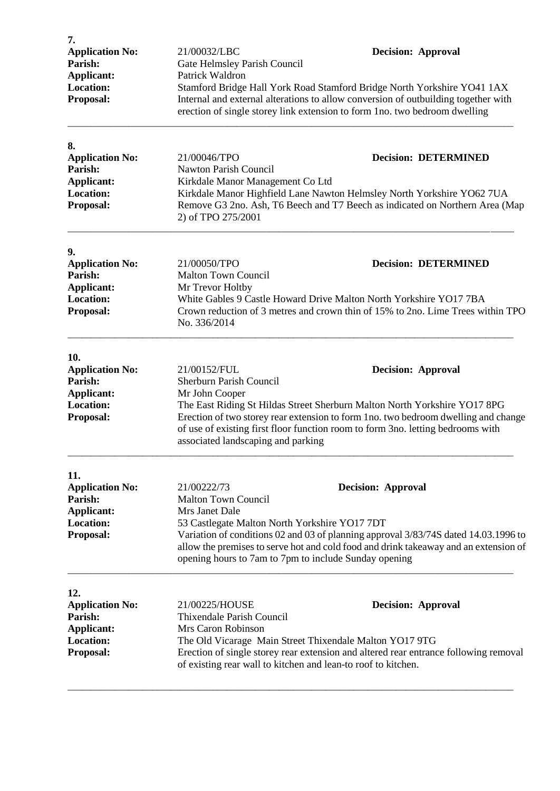| 7.<br><b>Application No:</b><br>Parish:<br>Applicant:<br><b>Location:</b><br>Proposal:         | 21/00032/LBC<br><b>Decision: Approval</b><br>Gate Helmsley Parish Council<br>Patrick Waldron<br>Stamford Bridge Hall York Road Stamford Bridge North Yorkshire YO41 1AX<br>Internal and external alterations to allow conversion of outbuilding together with<br>erection of single storey link extension to form 1no. two bedroom dwelling                                        |
|------------------------------------------------------------------------------------------------|------------------------------------------------------------------------------------------------------------------------------------------------------------------------------------------------------------------------------------------------------------------------------------------------------------------------------------------------------------------------------------|
| 8.<br><b>Application No:</b><br>Parish:<br><b>Applicant:</b><br><b>Location:</b><br>Proposal:  | 21/00046/TPO<br><b>Decision: DETERMINED</b><br><b>Nawton Parish Council</b><br>Kirkdale Manor Management Co Ltd<br>Kirkdale Manor Highfield Lane Nawton Helmsley North Yorkshire YO62 7UA<br>Remove G3 2no. Ash, T6 Beech and T7 Beech as indicated on Northern Area (Map<br>2) of TPO 275/2001                                                                                    |
| 9.<br><b>Application No:</b><br>Parish:<br>Applicant:<br><b>Location:</b><br>Proposal:         | <b>Decision: DETERMINED</b><br>21/00050/TPO<br><b>Malton Town Council</b><br>Mr Trevor Holtby<br>White Gables 9 Castle Howard Drive Malton North Yorkshire YO17 7BA<br>Crown reduction of 3 metres and crown thin of 15% to 2no. Lime Trees within TPO<br>No. 336/2014                                                                                                             |
| 10.<br><b>Application No:</b><br>Parish:<br><b>Applicant:</b><br><b>Location:</b><br>Proposal: | 21/00152/FUL<br><b>Decision: Approval</b><br>Sherburn Parish Council<br>Mr John Cooper<br>The East Riding St Hildas Street Sherburn Malton North Yorkshire YO17 8PG<br>Erection of two storey rear extension to form 1no. two bedroom dwelling and change<br>of use of existing first floor function room to form 3no. letting bedrooms with<br>associated landscaping and parking |
| 11.<br><b>Application No:</b><br>Parish:<br>Applicant:<br><b>Location:</b><br>Proposal:        | 21/00222/73<br><b>Decision: Approval</b><br><b>Malton Town Council</b><br>Mrs Janet Dale<br>53 Castlegate Malton North Yorkshire YO17 7DT<br>Variation of conditions 02 and 03 of planning approval 3/83/74S dated 14.03.1996 to<br>allow the premises to serve hot and cold food and drink takeaway and an extension of<br>opening hours to 7am to 7pm to include Sunday opening  |
| 12.<br><b>Application No:</b><br>Parish:<br>Applicant:<br><b>Location:</b><br>Proposal:        | 21/00225/HOUSE<br><b>Decision: Approval</b><br>Thixendale Parish Council<br>Mrs Caron Robinson<br>The Old Vicarage Main Street Thixendale Malton YO17 9TG<br>Erection of single storey rear extension and altered rear entrance following removal<br>of existing rear wall to kitchen and lean-to roof to kitchen.                                                                 |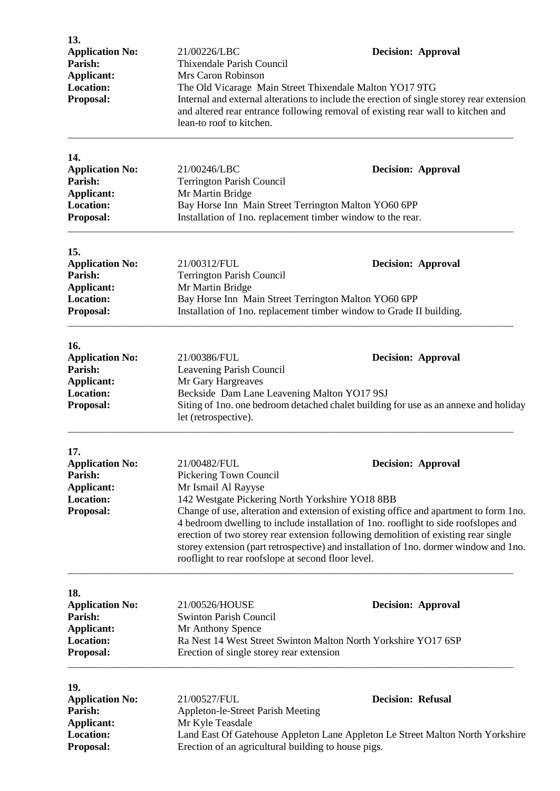| 13.                                                                                                    |                                                                                                                                     |                                                                                       |
|--------------------------------------------------------------------------------------------------------|-------------------------------------------------------------------------------------------------------------------------------------|---------------------------------------------------------------------------------------|
| <b>Application No:</b>                                                                                 | 21/00226/LBC                                                                                                                        | <b>Decision: Approval</b>                                                             |
| Parish:                                                                                                | Thixendale Parish Council                                                                                                           |                                                                                       |
| Applicant:                                                                                             | Mrs Caron Robinson<br>The Old Vicarage Main Street Thixendale Malton YO17 9TG                                                       |                                                                                       |
| <b>Location:</b>                                                                                       |                                                                                                                                     |                                                                                       |
| Internal and external alterations to include the erection of single storey rear extension<br>Proposal: |                                                                                                                                     |                                                                                       |
|                                                                                                        |                                                                                                                                     | and altered rear entrance following removal of existing rear wall to kitchen and      |
|                                                                                                        | lean-to roof to kitchen.                                                                                                            |                                                                                       |
|                                                                                                        |                                                                                                                                     |                                                                                       |
| 14.                                                                                                    |                                                                                                                                     |                                                                                       |
| <b>Application No:</b>                                                                                 | 21/00246/LBC                                                                                                                        | <b>Decision: Approval</b>                                                             |
| Parish:                                                                                                | <b>Terrington Parish Council</b>                                                                                                    |                                                                                       |
| <b>Applicant:</b>                                                                                      | Mr Martin Bridge                                                                                                                    |                                                                                       |
| <b>Location:</b>                                                                                       | Bay Horse Inn Main Street Terrington Malton YO60 6PP                                                                                |                                                                                       |
| Proposal:                                                                                              | Installation of 1no. replacement timber window to the rear.                                                                         |                                                                                       |
|                                                                                                        |                                                                                                                                     |                                                                                       |
| 15.                                                                                                    |                                                                                                                                     |                                                                                       |
| <b>Application No:</b>                                                                                 | 21/00312/FUL                                                                                                                        | <b>Decision: Approval</b>                                                             |
| Parish:                                                                                                | <b>Terrington Parish Council</b>                                                                                                    |                                                                                       |
| Applicant:                                                                                             | Mr Martin Bridge                                                                                                                    |                                                                                       |
| <b>Location:</b>                                                                                       | Bay Horse Inn Main Street Terrington Malton YO60 6PP                                                                                |                                                                                       |
| Proposal:                                                                                              |                                                                                                                                     | Installation of 1no. replacement timber window to Grade II building.                  |
|                                                                                                        |                                                                                                                                     |                                                                                       |
| 16.                                                                                                    | 21/00386/FUL                                                                                                                        |                                                                                       |
| <b>Application No:</b><br>Parish:                                                                      |                                                                                                                                     | <b>Decision: Approval</b>                                                             |
|                                                                                                        | Leavening Parish Council                                                                                                            |                                                                                       |
| Applicant:<br><b>Location:</b>                                                                         | Mr Gary Hargreaves                                                                                                                  |                                                                                       |
| Proposal:                                                                                              | Beckside Dam Lane Leavening Malton YO17 9SJ<br>Siting of 1no. one bedroom detached chalet building for use as an annexe and holiday |                                                                                       |
|                                                                                                        | let (retrospective).                                                                                                                |                                                                                       |
|                                                                                                        |                                                                                                                                     |                                                                                       |
| 17.                                                                                                    |                                                                                                                                     |                                                                                       |
| <b>Application No:</b>                                                                                 | 21/00482/FUL                                                                                                                        | <b>Decision: Approval</b>                                                             |
| Parish:                                                                                                | Pickering Town Council                                                                                                              |                                                                                       |
| Applicant:                                                                                             | Mr Ismail Al Rayyse                                                                                                                 |                                                                                       |
| <b>Location:</b>                                                                                       | 142 Westgate Pickering North Yorkshire YO18 8BB                                                                                     |                                                                                       |
| Proposal:                                                                                              |                                                                                                                                     | Change of use, alteration and extension of existing office and apartment to form 1no. |
|                                                                                                        |                                                                                                                                     | 4 bedroom dwelling to include installation of 1no. rooflight to side roofslopes and   |
|                                                                                                        |                                                                                                                                     | erection of two storey rear extension following demolition of existing rear single    |
|                                                                                                        | storey extension (part retrospective) and installation of 1no. dormer window and 1no.                                               |                                                                                       |
|                                                                                                        | rooflight to rear roofslope at second floor level.                                                                                  |                                                                                       |
| 18.                                                                                                    |                                                                                                                                     |                                                                                       |
| <b>Application No:</b>                                                                                 | 21/00526/HOUSE                                                                                                                      | <b>Decision: Approval</b>                                                             |
| Parish:                                                                                                | <b>Swinton Parish Council</b>                                                                                                       |                                                                                       |
| <b>Applicant:</b>                                                                                      | Mr Anthony Spence                                                                                                                   |                                                                                       |
| <b>Location:</b>                                                                                       |                                                                                                                                     | Ra Nest 14 West Street Swinton Malton North Yorkshire YO17 6SP                        |
| Proposal:                                                                                              | Erection of single storey rear extension                                                                                            |                                                                                       |
|                                                                                                        |                                                                                                                                     |                                                                                       |
| 19.                                                                                                    |                                                                                                                                     |                                                                                       |
| <b>Application No:</b>                                                                                 | 21/00527/FUL                                                                                                                        | <b>Decision: Refusal</b>                                                              |
| Parish:                                                                                                | <b>Appleton-le-Street Parish Meeting</b>                                                                                            |                                                                                       |
| <b>Applicant:</b>                                                                                      | Mr Kyle Teasdale                                                                                                                    |                                                                                       |
| <b>Location:</b>                                                                                       |                                                                                                                                     | Land East Of Gatehouse Appleton Lane Appleton Le Street Malton North Yorkshire        |
| Proposal:                                                                                              | Erection of an agricultural building to house pigs.                                                                                 |                                                                                       |
|                                                                                                        |                                                                                                                                     |                                                                                       |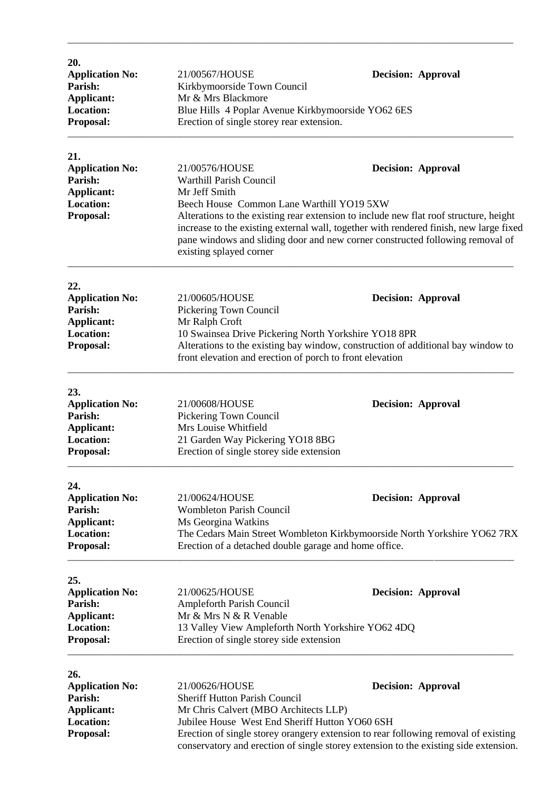| 20.<br><b>Application No:</b><br>Parish:<br>Applicant: | 21/00567/HOUSE<br>Kirkbymoorside Town Council<br>Mr & Mrs Blackmore                                                                                                        | <b>Decision: Approval</b>                                                                                                                                                                                                                                        |
|--------------------------------------------------------|----------------------------------------------------------------------------------------------------------------------------------------------------------------------------|------------------------------------------------------------------------------------------------------------------------------------------------------------------------------------------------------------------------------------------------------------------|
| <b>Location:</b><br>Proposal:                          | Blue Hills 4 Poplar Avenue Kirkbymoorside YO62 6ES<br>Erection of single storey rear extension.                                                                            |                                                                                                                                                                                                                                                                  |
| 21.                                                    |                                                                                                                                                                            |                                                                                                                                                                                                                                                                  |
| <b>Application No:</b><br>Parish:<br>Applicant:        | 21/00576/HOUSE<br><b>Warthill Parish Council</b><br>Mr Jeff Smith                                                                                                          | <b>Decision: Approval</b>                                                                                                                                                                                                                                        |
| <b>Location:</b><br>Proposal:                          | Beech House Common Lane Warthill YO19 5XW<br>existing splayed corner                                                                                                       | Alterations to the existing rear extension to include new flat roof structure, height<br>increase to the existing external wall, together with rendered finish, new large fixed<br>pane windows and sliding door and new corner constructed following removal of |
| 22.                                                    |                                                                                                                                                                            |                                                                                                                                                                                                                                                                  |
| <b>Application No:</b><br>Parish:<br>Applicant:        | 21/00605/HOUSE<br>Pickering Town Council<br>Mr Ralph Croft                                                                                                                 | <b>Decision: Approval</b>                                                                                                                                                                                                                                        |
| <b>Location:</b><br>Proposal:                          | 10 Swainsea Drive Pickering North Yorkshire YO18 8PR<br>front elevation and erection of porch to front elevation                                                           | Alterations to the existing bay window, construction of additional bay window to                                                                                                                                                                                 |
| 23.<br><b>Application No:</b>                          | 21/00608/HOUSE                                                                                                                                                             | <b>Decision: Approval</b>                                                                                                                                                                                                                                        |
| Parish:                                                | Pickering Town Council                                                                                                                                                     |                                                                                                                                                                                                                                                                  |
| Applicant:                                             | Mrs Louise Whitfield                                                                                                                                                       |                                                                                                                                                                                                                                                                  |
| <b>Location:</b><br><b>Proposal:</b>                   | 21 Garden Way Pickering YO18 8BG<br>Erection of single storey side extension                                                                                               |                                                                                                                                                                                                                                                                  |
| 24.                                                    |                                                                                                                                                                            |                                                                                                                                                                                                                                                                  |
| <b>Application No:</b><br>Parish:                      | 21/00624/HOUSE<br><b>Wombleton Parish Council</b>                                                                                                                          | <b>Decision: Approval</b>                                                                                                                                                                                                                                        |
| <b>Applicant:</b><br><b>Location:</b><br>Proposal:     | Ms Georgina Watkins<br>Erection of a detached double garage and home office.                                                                                               | The Cedars Main Street Wombleton Kirkbymoorside North Yorkshire YO62 7RX                                                                                                                                                                                         |
| 25.                                                    |                                                                                                                                                                            |                                                                                                                                                                                                                                                                  |
| <b>Application No:</b><br>Parish:                      | 21/00625/HOUSE<br><b>Ampleforth Parish Council</b>                                                                                                                         | <b>Decision: Approval</b>                                                                                                                                                                                                                                        |
| Applicant:                                             | Mr & Mrs N & R Venable                                                                                                                                                     |                                                                                                                                                                                                                                                                  |
| <b>Location:</b>                                       | 13 Valley View Ampleforth North Yorkshire YO62 4DQ                                                                                                                         |                                                                                                                                                                                                                                                                  |
| Proposal:                                              | Erection of single storey side extension                                                                                                                                   |                                                                                                                                                                                                                                                                  |
| 26.                                                    |                                                                                                                                                                            |                                                                                                                                                                                                                                                                  |
| <b>Application No:</b><br>Parish:                      | 21/00626/HOUSE<br><b>Sheriff Hutton Parish Council</b>                                                                                                                     | <b>Decision: Approval</b>                                                                                                                                                                                                                                        |
| Applicant:                                             | Mr Chris Calvert (MBO Architects LLP)                                                                                                                                      |                                                                                                                                                                                                                                                                  |
| <b>Location:</b>                                       | Jubilee House West End Sheriff Hutton YO60 6SH                                                                                                                             |                                                                                                                                                                                                                                                                  |
| Proposal:                                              | Erection of single storey orangery extension to rear following removal of existing<br>conservatory and erection of single storey extension to the existing side extension. |                                                                                                                                                                                                                                                                  |

\_\_\_\_\_\_\_\_\_\_\_\_\_\_\_\_\_\_\_\_\_\_\_\_\_\_\_\_\_\_\_\_\_\_\_\_\_\_\_\_\_\_\_\_\_\_\_\_\_\_\_\_\_\_\_\_\_\_\_\_\_\_\_\_\_\_\_\_\_\_\_\_\_\_\_\_\_\_\_\_\_\_\_\_\_\_\_\_\_\_\_\_\_\_\_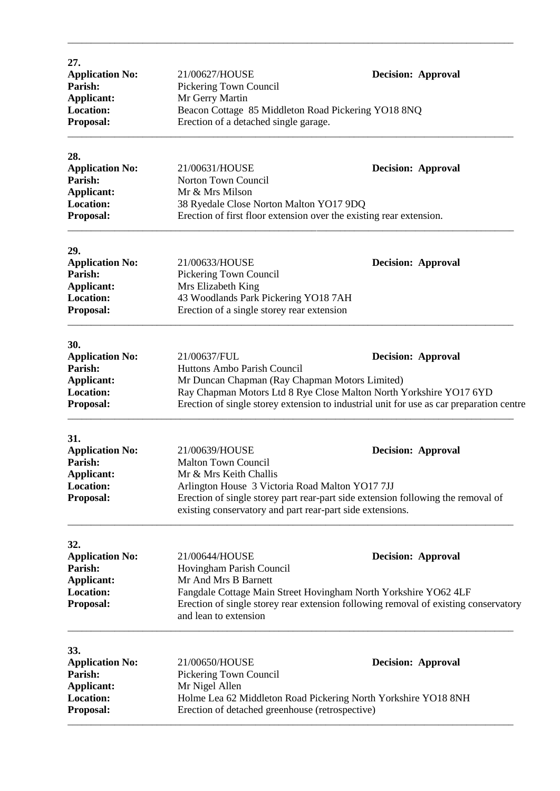| 27.<br><b>Application No:</b><br>Parish:<br><b>Applicant:</b><br><b>Location:</b><br>Proposal: | 21/00627/HOUSE<br>Pickering Town Council<br>Mr Gerry Martin<br>Beacon Cottage 85 Middleton Road Pickering YO18 8NQ<br>Erection of a detached single garage.                            | <b>Decision: Approval</b>                                                                                                                                                                   |
|------------------------------------------------------------------------------------------------|----------------------------------------------------------------------------------------------------------------------------------------------------------------------------------------|---------------------------------------------------------------------------------------------------------------------------------------------------------------------------------------------|
| 28.<br><b>Application No:</b><br>Parish:<br><b>Applicant:</b><br><b>Location:</b><br>Proposal: | 21/00631/HOUSE<br>Norton Town Council<br>Mr & Mrs Milson<br>38 Ryedale Close Norton Malton YO17 9DQ<br>Erection of first floor extension over the existing rear extension.             | <b>Decision: Approval</b>                                                                                                                                                                   |
| 29.<br><b>Application No:</b><br>Parish:<br>Applicant:<br><b>Location:</b><br>Proposal:        | 21/00633/HOUSE<br>Pickering Town Council<br>Mrs Elizabeth King<br>43 Woodlands Park Pickering YO18 7AH<br>Erection of a single storey rear extension                                   | <b>Decision: Approval</b>                                                                                                                                                                   |
| 30.<br><b>Application No:</b><br>Parish:<br><b>Applicant:</b><br><b>Location:</b><br>Proposal: | 21/00637/FUL<br>Huttons Ambo Parish Council<br>Mr Duncan Chapman (Ray Chapman Motors Limited)                                                                                          | <b>Decision: Approval</b><br>Ray Chapman Motors Ltd 8 Rye Close Malton North Yorkshire YO17 6YD<br>Erection of single storey extension to industrial unit for use as car preparation centre |
| 31.<br><b>Application No:</b><br>Parish:<br><b>Applicant:</b><br>Location:<br>Proposal:        | 21/00639/HOUSE<br><b>Malton Town Council</b><br>Mr & Mrs Keith Challis<br>Arlington House 3 Victoria Road Malton YO17 7JJ<br>existing conservatory and part rear-part side extensions. | <b>Decision: Approval</b><br>Erection of single storey part rear-part side extension following the removal of                                                                               |
| 32.<br><b>Application No:</b><br>Parish:<br><b>Applicant:</b><br><b>Location:</b><br>Proposal: | 21/00644/HOUSE<br>Hovingham Parish Council<br>Mr And Mrs B Barnett<br>and lean to extension                                                                                            | <b>Decision: Approval</b><br>Fangdale Cottage Main Street Hovingham North Yorkshire YO62 4LF<br>Erection of single storey rear extension following removal of existing conservatory         |
| 33.<br><b>Application No:</b><br>Parish:<br>Applicant:<br><b>Location:</b><br>Proposal:        | 21/00650/HOUSE<br>Pickering Town Council<br>Mr Nigel Allen<br>Erection of detached greenhouse (retrospective)                                                                          | <b>Decision: Approval</b><br>Holme Lea 62 Middleton Road Pickering North Yorkshire YO18 8NH                                                                                                 |

\_\_\_\_\_\_\_\_\_\_\_\_\_\_\_\_\_\_\_\_\_\_\_\_\_\_\_\_\_\_\_\_\_\_\_\_\_\_\_\_\_\_\_\_\_\_\_\_\_\_\_\_\_\_\_\_\_\_\_\_\_\_\_\_\_\_\_\_\_\_\_\_\_\_\_\_\_\_\_\_\_\_\_\_\_\_\_\_\_\_\_\_\_\_\_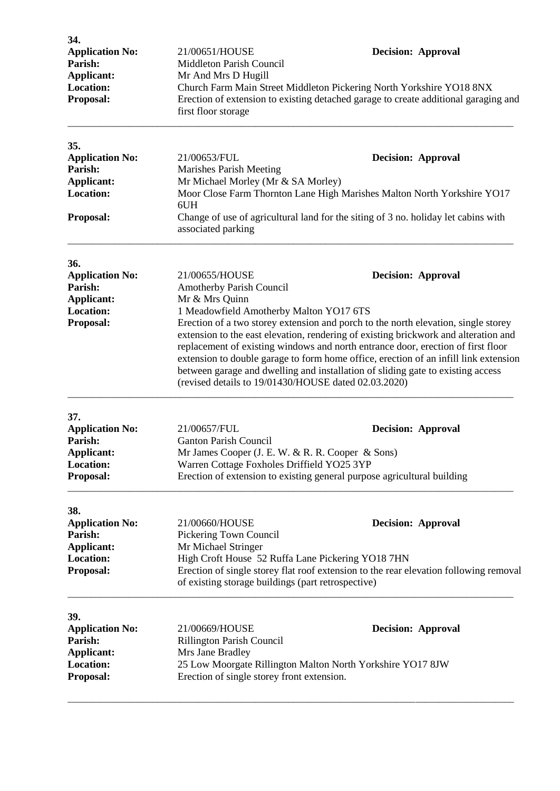| 34.<br><b>Application No:</b><br>Parish:<br>Applicant:<br><b>Location:</b><br>Proposal: | 21/00651/HOUSE<br>Middleton Parish Council<br>Mr And Mrs D Hugill<br>first floor storage                                                                                                                                                                                                                                                                                                                                                                                                         | <b>Decision: Approval</b><br>Church Farm Main Street Middleton Pickering North Yorkshire YO18 8NX<br>Erection of extension to existing detached garage to create additional garaging and |
|-----------------------------------------------------------------------------------------|--------------------------------------------------------------------------------------------------------------------------------------------------------------------------------------------------------------------------------------------------------------------------------------------------------------------------------------------------------------------------------------------------------------------------------------------------------------------------------------------------|------------------------------------------------------------------------------------------------------------------------------------------------------------------------------------------|
| 35.                                                                                     |                                                                                                                                                                                                                                                                                                                                                                                                                                                                                                  |                                                                                                                                                                                          |
| <b>Application No:</b><br>Parish:<br><b>Applicant:</b><br><b>Location:</b>              | 21/00653/FUL<br>Marishes Parish Meeting<br>Mr Michael Morley (Mr & SA Morley)                                                                                                                                                                                                                                                                                                                                                                                                                    | <b>Decision: Approval</b>                                                                                                                                                                |
| Proposal:                                                                               | Moor Close Farm Thornton Lane High Marishes Malton North Yorkshire YO17<br>6UH<br>Change of use of agricultural land for the siting of 3 no. holiday let cabins with<br>associated parking                                                                                                                                                                                                                                                                                                       |                                                                                                                                                                                          |
| 36.<br><b>Application No:</b>                                                           | 21/00655/HOUSE                                                                                                                                                                                                                                                                                                                                                                                                                                                                                   | <b>Decision: Approval</b>                                                                                                                                                                |
| Parish:<br><b>Applicant:</b>                                                            | Amotherby Parish Council<br>Mr & Mrs Quinn                                                                                                                                                                                                                                                                                                                                                                                                                                                       |                                                                                                                                                                                          |
| <b>Location:</b>                                                                        | 1 Meadowfield Amotherby Malton YO17 6TS                                                                                                                                                                                                                                                                                                                                                                                                                                                          |                                                                                                                                                                                          |
| Proposal:                                                                               | Erection of a two storey extension and porch to the north elevation, single storey<br>extension to the east elevation, rendering of existing brickwork and alteration and<br>replacement of existing windows and north entrance door, erection of first floor<br>extension to double garage to form home office, erection of an infill link extension<br>between garage and dwelling and installation of sliding gate to existing access<br>(revised details to 19/01430/HOUSE dated 02.03.2020) |                                                                                                                                                                                          |
| 37.<br><b>Application No:</b>                                                           | 21/00657/FUL                                                                                                                                                                                                                                                                                                                                                                                                                                                                                     | <b>Decision: Approval</b>                                                                                                                                                                |
| Parish:                                                                                 | <b>Ganton Parish Council</b>                                                                                                                                                                                                                                                                                                                                                                                                                                                                     |                                                                                                                                                                                          |
| Applicant:<br><b>Location:</b>                                                          | Mr James Cooper (J. E. W. & R. R. Cooper & Sons)                                                                                                                                                                                                                                                                                                                                                                                                                                                 |                                                                                                                                                                                          |
| Proposal:                                                                               | Warren Cottage Foxholes Driffield YO25 3YP<br>Erection of extension to existing general purpose agricultural building                                                                                                                                                                                                                                                                                                                                                                            |                                                                                                                                                                                          |
| 38.                                                                                     |                                                                                                                                                                                                                                                                                                                                                                                                                                                                                                  |                                                                                                                                                                                          |
| <b>Application No:</b><br>Parish:                                                       | 21/00660/HOUSE<br>Pickering Town Council                                                                                                                                                                                                                                                                                                                                                                                                                                                         | <b>Decision: Approval</b>                                                                                                                                                                |
| Applicant:                                                                              | Mr Michael Stringer                                                                                                                                                                                                                                                                                                                                                                                                                                                                              |                                                                                                                                                                                          |
| <b>Location:</b>                                                                        | High Croft House 52 Ruffa Lane Pickering YO18 7HN                                                                                                                                                                                                                                                                                                                                                                                                                                                |                                                                                                                                                                                          |
| Proposal:                                                                               | Erection of single storey flat roof extension to the rear elevation following removal<br>of existing storage buildings (part retrospective)                                                                                                                                                                                                                                                                                                                                                      |                                                                                                                                                                                          |
| 39.                                                                                     |                                                                                                                                                                                                                                                                                                                                                                                                                                                                                                  |                                                                                                                                                                                          |
| <b>Application No:</b>                                                                  | 21/00669/HOUSE                                                                                                                                                                                                                                                                                                                                                                                                                                                                                   | <b>Decision: Approval</b>                                                                                                                                                                |
| Parish:<br>Applicant:                                                                   | Rillington Parish Council<br>Mrs Jane Bradley                                                                                                                                                                                                                                                                                                                                                                                                                                                    |                                                                                                                                                                                          |
| Location:                                                                               |                                                                                                                                                                                                                                                                                                                                                                                                                                                                                                  |                                                                                                                                                                                          |
| Proposal:                                                                               | 25 Low Moorgate Rillington Malton North Yorkshire YO17 8JW<br>Erection of single storey front extension.                                                                                                                                                                                                                                                                                                                                                                                         |                                                                                                                                                                                          |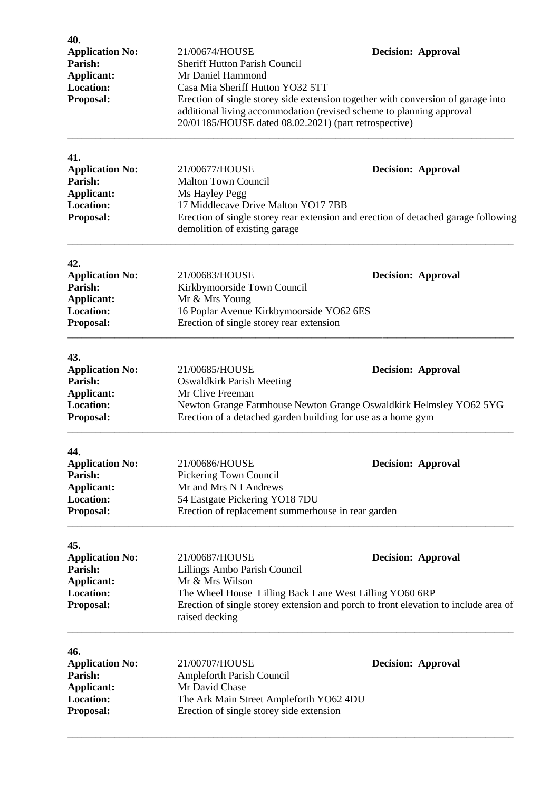| 40.<br><b>Application No:</b><br>Parish:<br>Applicant: | 21/00674/HOUSE<br><b>Sheriff Hutton Parish Council</b><br>Mr Daniel Hammond                                                                                                                                                                           | <b>Decision: Approval</b> |
|--------------------------------------------------------|-------------------------------------------------------------------------------------------------------------------------------------------------------------------------------------------------------------------------------------------------------|---------------------------|
| <b>Location:</b><br>Proposal:                          | Casa Mia Sheriff Hutton YO32 5TT<br>Erection of single storey side extension together with conversion of garage into<br>additional living accommodation (revised scheme to planning approval<br>20/01185/HOUSE dated 08.02.2021) (part retrospective) |                           |
| 41.                                                    |                                                                                                                                                                                                                                                       |                           |
| <b>Application No:</b><br>Parish:                      | 21/00677/HOUSE<br><b>Malton Town Council</b>                                                                                                                                                                                                          | <b>Decision: Approval</b> |
| Applicant:                                             | Ms Hayley Pegg                                                                                                                                                                                                                                        |                           |
| <b>Location:</b>                                       | 17 Middlecave Drive Malton YO17 7BB                                                                                                                                                                                                                   |                           |
| Proposal:                                              | Erection of single storey rear extension and erection of detached garage following<br>demolition of existing garage                                                                                                                                   |                           |
| 42.                                                    |                                                                                                                                                                                                                                                       |                           |
| <b>Application No:</b>                                 | 21/00683/HOUSE                                                                                                                                                                                                                                        | <b>Decision: Approval</b> |
| Parish:<br>Applicant:                                  | Kirkbymoorside Town Council<br>Mr & Mrs Young                                                                                                                                                                                                         |                           |
| <b>Location:</b>                                       | 16 Poplar Avenue Kirkbymoorside YO62 6ES                                                                                                                                                                                                              |                           |
| Proposal:                                              | Erection of single storey rear extension                                                                                                                                                                                                              |                           |
| 43.                                                    |                                                                                                                                                                                                                                                       |                           |
| <b>Application No:</b><br>Parish:                      | 21/00685/HOUSE<br><b>Oswaldkirk Parish Meeting</b>                                                                                                                                                                                                    | <b>Decision: Approval</b> |
| Applicant:                                             | Mr Clive Freeman                                                                                                                                                                                                                                      |                           |
| <b>Location:</b><br>Proposal:                          | Newton Grange Farmhouse Newton Grange Oswaldkirk Helmsley YO62 5YG<br>Erection of a detached garden building for use as a home gym                                                                                                                    |                           |
| 44.                                                    |                                                                                                                                                                                                                                                       |                           |
| <b>Application No:</b>                                 | 21/00686/HOUSE                                                                                                                                                                                                                                        | <b>Decision: Approval</b> |
| Parish:<br>Applicant:                                  | Pickering Town Council<br>Mr and Mrs N I Andrews                                                                                                                                                                                                      |                           |
| <b>Location:</b>                                       | 54 Eastgate Pickering YO18 7DU                                                                                                                                                                                                                        |                           |
| Proposal:                                              | Erection of replacement summerhouse in rear garden                                                                                                                                                                                                    |                           |
| 45.                                                    |                                                                                                                                                                                                                                                       |                           |
| <b>Application No:</b><br>Parish:                      | 21/00687/HOUSE                                                                                                                                                                                                                                        | <b>Decision: Approval</b> |
| Applicant:                                             | Lillings Ambo Parish Council<br>Mr & Mrs Wilson                                                                                                                                                                                                       |                           |
| <b>Location:</b>                                       | The Wheel House Lilling Back Lane West Lilling YO60 6RP                                                                                                                                                                                               |                           |
| Proposal:                                              | Erection of single storey extension and porch to front elevation to include area of<br>raised decking                                                                                                                                                 |                           |
| 46.                                                    |                                                                                                                                                                                                                                                       |                           |
| <b>Application No:</b>                                 | 21/00707/HOUSE<br><b>Ampleforth Parish Council</b>                                                                                                                                                                                                    | <b>Decision: Approval</b> |
|                                                        |                                                                                                                                                                                                                                                       |                           |
| Parish:                                                |                                                                                                                                                                                                                                                       |                           |
| Applicant:<br><b>Location:</b>                         | Mr David Chase<br>The Ark Main Street Ampleforth YO62 4DU                                                                                                                                                                                             |                           |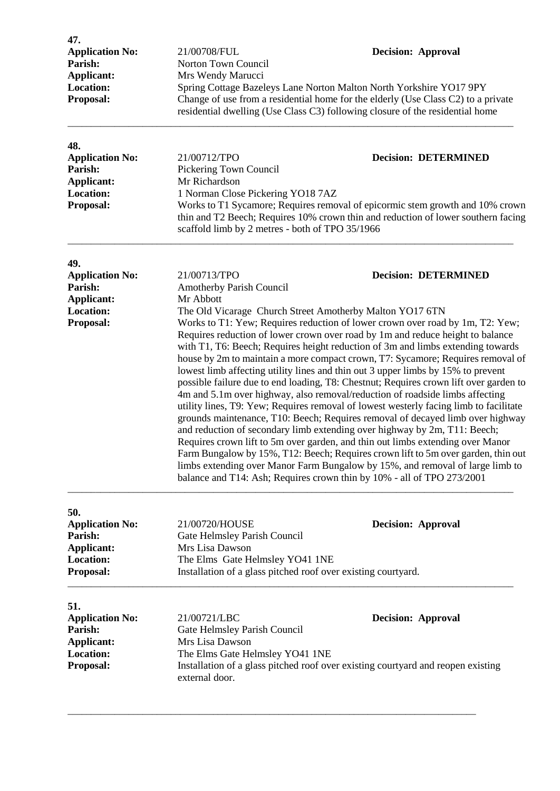| 47.                    |                     |                                                                                   |
|------------------------|---------------------|-----------------------------------------------------------------------------------|
| <b>Application No:</b> | 21/00708/FUL        | <b>Decision: Approval</b>                                                         |
| Parish:                | Norton Town Council |                                                                                   |
| Applicant:             | Mrs Wendy Marucci   |                                                                                   |
| <b>Location:</b>       |                     | Spring Cottage Bazeleys Lane Norton Malton North Yorkshire YO17 9PY               |
| <b>Proposal:</b>       |                     | Change of use from a residential home for the elderly (Use Class C2) to a private |
|                        |                     | residential dwelling (Use Class C3) following closure of the residential home     |

\_\_\_\_\_\_\_\_\_\_\_\_\_\_\_\_\_\_\_\_\_\_\_\_\_\_\_\_\_\_\_\_\_\_\_\_\_\_\_\_\_\_\_\_\_\_\_\_\_\_\_\_\_\_\_\_\_\_\_\_\_\_\_\_\_\_\_\_\_\_\_\_\_\_\_\_\_\_\_\_\_\_\_\_\_\_\_\_\_\_\_\_\_\_\_

| 48.                    |                                                 |                                                                                                                                                                    |
|------------------------|-------------------------------------------------|--------------------------------------------------------------------------------------------------------------------------------------------------------------------|
| <b>Application No:</b> | 21/00712/TPO                                    | <b>Decision: DETERMINED</b>                                                                                                                                        |
| <b>Parish:</b>         | Pickering Town Council                          |                                                                                                                                                                    |
| Applicant:             | Mr Richardson                                   |                                                                                                                                                                    |
| <b>Location:</b>       | 1 Norman Close Pickering YO18 7AZ               |                                                                                                                                                                    |
| <b>Proposal:</b>       | scaffold limb by 2 metres - both of TPO 35/1966 | Works to T1 Sycamore; Requires removal of epicormic stem growth and 10% crown<br>thin and T2 Beech; Requires 10% crown thin and reduction of lower southern facing |

\_\_\_\_\_\_\_\_\_\_\_\_\_\_\_\_\_\_\_\_\_\_\_\_\_\_\_\_\_\_\_\_\_\_\_\_\_\_\_\_\_\_\_\_\_\_\_\_\_\_\_\_\_\_\_\_\_\_\_\_\_\_\_\_\_\_\_\_\_\_\_\_\_\_\_\_\_\_\_\_\_\_\_\_\_\_\_\_\_\_\_\_\_\_\_

| 49.                    |                                                                                                                                                                                                                                                                                                                                                                                                                                                                                                                                                                                                                                                                                                                                                                                                                                                                                                                                                                                                                                                                                                                                                                                                                          |                             |
|------------------------|--------------------------------------------------------------------------------------------------------------------------------------------------------------------------------------------------------------------------------------------------------------------------------------------------------------------------------------------------------------------------------------------------------------------------------------------------------------------------------------------------------------------------------------------------------------------------------------------------------------------------------------------------------------------------------------------------------------------------------------------------------------------------------------------------------------------------------------------------------------------------------------------------------------------------------------------------------------------------------------------------------------------------------------------------------------------------------------------------------------------------------------------------------------------------------------------------------------------------|-----------------------------|
| <b>Application No:</b> | 21/00713/TPO                                                                                                                                                                                                                                                                                                                                                                                                                                                                                                                                                                                                                                                                                                                                                                                                                                                                                                                                                                                                                                                                                                                                                                                                             | <b>Decision: DETERMINED</b> |
| Parish:                |                                                                                                                                                                                                                                                                                                                                                                                                                                                                                                                                                                                                                                                                                                                                                                                                                                                                                                                                                                                                                                                                                                                                                                                                                          |                             |
| Applicant:             | Mr Abbott                                                                                                                                                                                                                                                                                                                                                                                                                                                                                                                                                                                                                                                                                                                                                                                                                                                                                                                                                                                                                                                                                                                                                                                                                |                             |
| <b>Location:</b>       | The Old Vicarage Church Street Amotherby Malton YO17 6TN                                                                                                                                                                                                                                                                                                                                                                                                                                                                                                                                                                                                                                                                                                                                                                                                                                                                                                                                                                                                                                                                                                                                                                 |                             |
| <b>Proposal:</b>       | Amotherby Parish Council<br>Works to T1: Yew; Requires reduction of lower crown over road by 1m, T2: Yew;<br>Requires reduction of lower crown over road by 1m and reduce height to balance<br>with T1, T6: Beech; Requires height reduction of 3m and limbs extending towards<br>house by 2m to maintain a more compact crown, T7: Sycamore; Requires removal of<br>lowest limb affecting utility lines and thin out 3 upper limbs by 15% to prevent<br>possible failure due to end loading, T8: Chestnut; Requires crown lift over garden to<br>4m and 5.1m over highway, also removal/reduction of roadside limbs affecting<br>utility lines, T9: Yew; Requires removal of lowest westerly facing limb to facilitate<br>grounds maintenance, T10: Beech; Requires removal of decayed limb over highway<br>and reduction of secondary limb extending over highway by 2m, T11: Beech;<br>Requires crown lift to 5m over garden, and thin out limbs extending over Manor<br>Farm Bungalow by 15%, T12: Beech; Requires crown lift to 5m over garden, thin out<br>limbs extending over Manor Farm Bungalow by 15%, and removal of large limb to<br>balance and T14: Ash; Requires crown thin by 10% - all of TPO 273/2001 |                             |

| 51.<br><b>Application No:</b><br>$\mathbf{n}$ . $\mathbf{n}$ | 21/00721/LBC<br>$C_{1}$ II 1 D 1 $C_{1}$ 1                    | <b>Decision: Approval</b> |  |
|--------------------------------------------------------------|---------------------------------------------------------------|---------------------------|--|
| <b>Proposal:</b>                                             | Installation of a glass pitched roof over existing courtyard. |                           |  |
| <b>Location:</b>                                             | Mrs Lisa Dawson<br>The Elms Gate Helmsley YO41 1NE            |                           |  |
| Applicant:                                                   |                                                               |                           |  |
| Parish:                                                      | Gate Helmsley Parish Council                                  |                           |  |
| 50.<br><b>Application No:</b>                                | 21/00720/HOUSE                                                | <b>Decision: Approval</b> |  |

| <b>Application No:</b> | 21/00721/LBC                    | <b>Decision: Approval</b>                                                     |
|------------------------|---------------------------------|-------------------------------------------------------------------------------|
| Parish:                | Gate Helmsley Parish Council    |                                                                               |
| Applicant:             | Mrs Lisa Dawson                 |                                                                               |
| <b>Location:</b>       | The Elms Gate Helmsley YO41 1NE |                                                                               |
| <b>Proposal:</b>       |                                 | Installation of a glass pitched roof over existing courty and reopen existing |
|                        | external door.                  |                                                                               |

\_\_\_\_\_\_\_\_\_\_\_\_\_\_\_\_\_\_\_\_\_\_\_\_\_\_\_\_\_\_\_\_\_\_\_\_\_\_\_\_\_\_\_\_\_\_\_\_\_\_\_\_\_\_\_\_\_\_\_\_\_\_\_\_\_\_\_\_\_\_\_\_\_\_\_\_\_\_\_\_\_\_\_\_\_\_\_